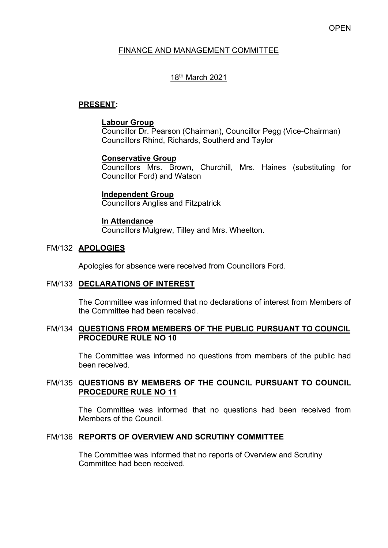### **OPEN**

### FINANCE AND MANAGEMENT COMMITTEE

## 18th March 2021

## **PRESENT:**

### **Labour Group**

Councillor Dr. Pearson (Chairman), Councillor Pegg (Vice-Chairman) Councillors Rhind, Richards, Southerd and Taylor

### **Conservative Group**

Councillors Mrs. Brown, Churchill, Mrs. Haines (substituting for Councillor Ford) and Watson

#### **Independent Group**

Councillors Angliss and Fitzpatrick

### **In Attendance**

Councillors Mulgrew, Tilley and Mrs. Wheelton.

#### FM/132 **APOLOGIES**

Apologies for absence were received from Councillors Ford.

### FM/133 **DECLARATIONS OF INTEREST**

 The Committee was informed that no declarations of interest from Members of the Committee had been received.

#### FM/134 **QUESTIONS FROM MEMBERS OF THE PUBLIC PURSUANT TO COUNCIL PROCEDURE RULE NO 10**

 The Committee was informed no questions from members of the public had been received.

### FM/135 **QUESTIONS BY MEMBERS OF THE COUNCIL PURSUANT TO COUNCIL PROCEDURE RULE NO 11**

The Committee was informed that no questions had been received from Members of the Council.

### FM/136 **REPORTS OF OVERVIEW AND SCRUTINY COMMITTEE**

The Committee was informed that no reports of Overview and Scrutiny Committee had been received.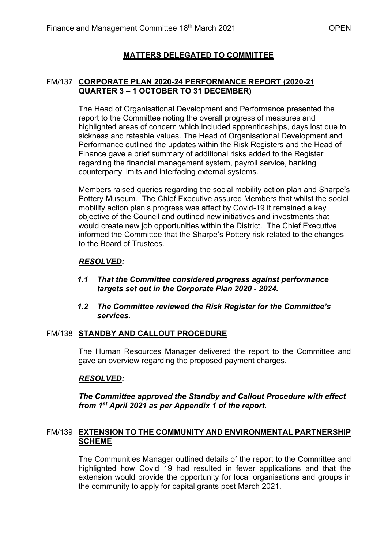# **MATTERS DELEGATED TO COMMITTEE**

### FM/137 **CORPORATE PLAN 2020-24 PERFORMANCE REPORT (2020-21 QUARTER 3 – 1 OCTOBER TO 31 DECEMBER)**

The Head of Organisational Development and Performance presented the report to the Committee noting the overall progress of measures and highlighted areas of concern which included apprenticeships, days lost due to sickness and rateable values. The Head of Organisational Development and Performance outlined the updates within the Risk Registers and the Head of Finance gave a brief summary of additional risks added to the Register regarding the financial management system, payroll service, banking counterparty limits and interfacing external systems.

Members raised queries regarding the social mobility action plan and Sharpe's Pottery Museum. The Chief Executive assured Members that whilst the social mobility action plan's progress was affect by Covid-19 it remained a key objective of the Council and outlined new initiatives and investments that would create new job opportunities within the District. The Chief Executive informed the Committee that the Sharpe's Pottery risk related to the changes to the Board of Trustees.

## *RESOLVED:*

- *1.1 That the Committee considered progress against performance targets set out in the Corporate Plan 2020 - 2024.*
- *1.2 The Committee reviewed the Risk Register for the Committee's services.*

### FM/138 **STANDBY AND CALLOUT PROCEDURE**

The Human Resources Manager delivered the report to the Committee and gave an overview regarding the proposed payment charges.

## *RESOLVED:*

*The Committee approved the Standby and Callout Procedure with effect from 1st April 2021 as per Appendix 1 of the report*.

### FM/139 **EXTENSION TO THE COMMUNITY AND ENVIRONMENTAL PARTNERSHIP SCHEME**

The Communities Manager outlined details of the report to the Committee and highlighted how Covid 19 had resulted in fewer applications and that the extension would provide the opportunity for local organisations and groups in the community to apply for capital grants post March 2021.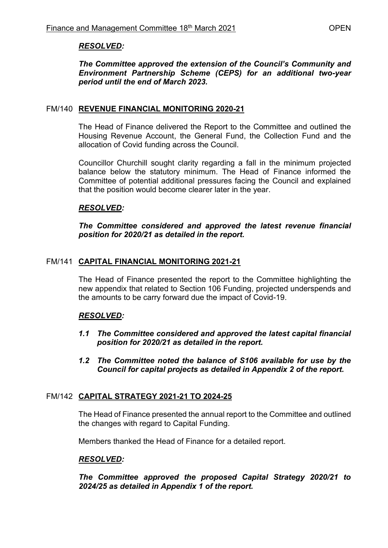## *RESOLVED:*

### *The Committee approved the extension of the Council's Community and Environment Partnership Scheme (CEPS) for an additional two-year period until the end of March 2023.*

### FM/140 **REVENUE FINANCIAL MONITORING 2020-21**

The Head of Finance delivered the Report to the Committee and outlined the Housing Revenue Account, the General Fund, the Collection Fund and the allocation of Covid funding across the Council.

Councillor Churchill sought clarity regarding a fall in the minimum projected balance below the statutory minimum. The Head of Finance informed the Committee of potential additional pressures facing the Council and explained that the position would become clearer later in the year.

## *RESOLVED:*

*The Committee considered and approved the latest revenue financial position for 2020/21 as detailed in the report.* 

## FM/141 **CAPITAL FINANCIAL MONITORING 2021-21**

The Head of Finance presented the report to the Committee highlighting the new appendix that related to Section 106 Funding, projected underspends and the amounts to be carry forward due the impact of Covid-19.

### *RESOLVED:*

- *1.1 The Committee considered and approved the latest capital financial position for 2020/21 as detailed in the report.*
- *1.2 The Committee noted the balance of S106 available for use by the Council for capital projects as detailed in Appendix 2 of the report.*

### FM/142 **CAPITAL STRATEGY 2021-21 TO 2024-25**

The Head of Finance presented the annual report to the Committee and outlined the changes with regard to Capital Funding.

Members thanked the Head of Finance for a detailed report.

### *RESOLVED:*

*The Committee approved the proposed Capital Strategy 2020/21 to 2024/25 as detailed in Appendix 1 of the report.*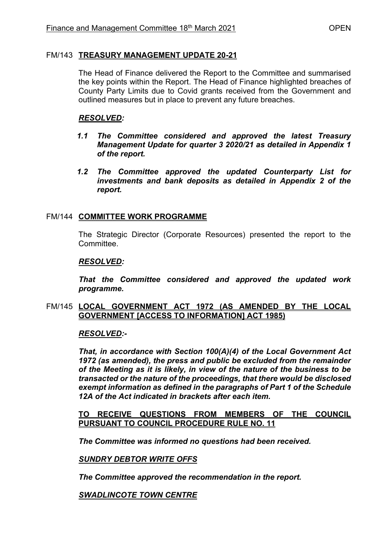### FM/143 **TREASURY MANAGEMENT UPDATE 20-21**

The Head of Finance delivered the Report to the Committee and summarised the key points within the Report. The Head of Finance highlighted breaches of County Party Limits due to Covid grants received from the Government and outlined measures but in place to prevent any future breaches.

## *RESOLVED:*

- *1.1 The Committee considered and approved the latest Treasury Management Update for quarter 3 2020/21 as detailed in Appendix 1 of the report.*
- *1.2 The Committee approved the updated Counterparty List for investments and bank deposits as detailed in Appendix 2 of the report.*

## FM/144 **COMMITTEE WORK PROGRAMME**

The Strategic Director (Corporate Resources) presented the report to the **Committee** 

### *RESOLVED:*

*That the Committee considered and approved the updated work programme.* 

### FM/145 **LOCAL GOVERNMENT ACT 1972 (AS AMENDED BY THE LOCAL GOVERNMENT [ACCESS TO INFORMATION] ACT 1985)**

### *RESOLVED:-*

*That, in accordance with Section 100(A)(4) of the Local Government Act 1972 (as amended), the press and public be excluded from the remainder of the Meeting as it is likely, in view of the nature of the business to be transacted or the nature of the proceedings, that there would be disclosed exempt information as defined in the paragraphs of Part 1 of the Schedule 12A of the Act indicated in brackets after each item.* 

**TO RECEIVE QUESTIONS FROM MEMBERS OF THE COUNCIL PURSUANT TO COUNCIL PROCEDURE RULE NO. 11** 

*The Committee was informed no questions had been received.* 

### *SUNDRY DEBTOR WRITE OFFS*

*The Committee approved the recommendation in the report.* 

*SWADLINCOTE TOWN CENTRE*